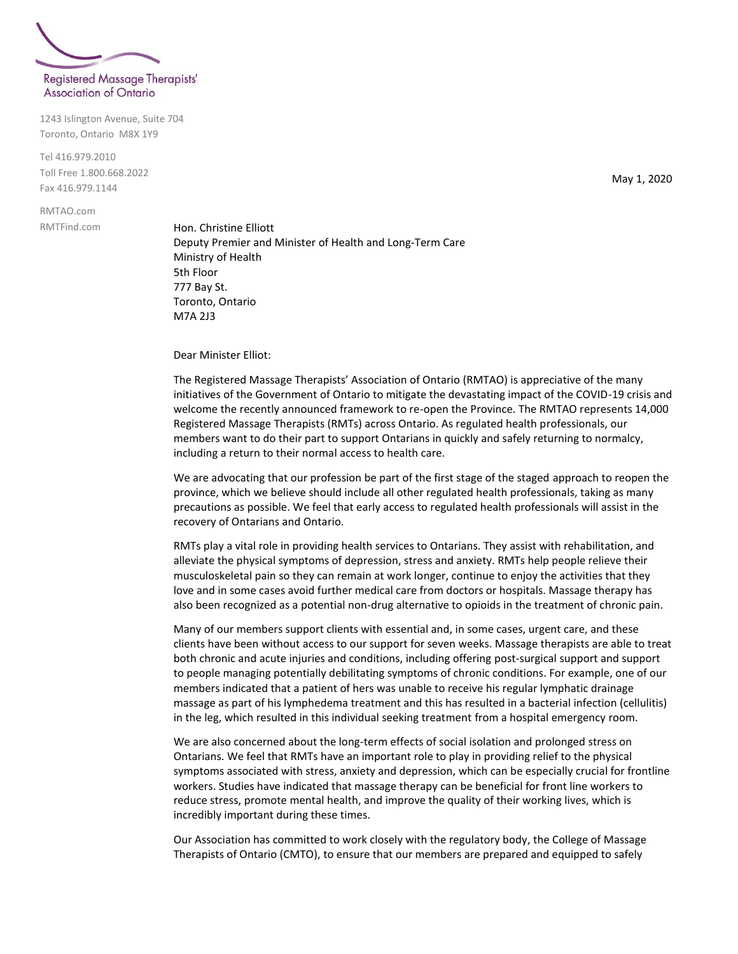

1243 Islington Avenue, Suite 704 Toronto, Ontario M8X 1Y9

Tel 416.979.2010 Toll Free 1.800.668.2022 Fax 416.979.1144

RMTAO.com RMTFind.com

Hon. Christine Elliott Deputy Premier and Minister of Health and Long-Term Care Ministry of Health 5th Floor 777 Bay St. Toronto, Ontario M7A 2J3

Dear Minister Elliot:

The Registered Massage Therapists' Association of Ontario (RMTAO) is appreciative of the many initiatives of the Government of Ontario to mitigate the devastating impact of the COVID-19 crisis and welcome the recently announced framework to re-open the Province. The RMTAO represents 14,000 Registered Massage Therapists (RMTs) across Ontario. As regulated health professionals, our members want to do their part to support Ontarians in quickly and safely returning to normalcy, including a return to their normal access to health care.

We are advocating that our profession be part of the first stage of the staged approach to reopen the province, which we believe should include all other regulated health professionals, taking as many precautions as possible. We feel that early access to regulated health professionals will assist in the recovery of Ontarians and Ontario.

RMTs play a vital role in providing health services to Ontarians. They assist with rehabilitation, and alleviate the physical symptoms of depression, stress and anxiety. RMTs help people relieve their musculoskeletal pain so they can remain at work longer, continue to enjoy the activities that they love and in some cases avoid further medical care from doctors or hospitals. Massage therapy has also been recognized as a potential non-drug alternative to opioids in the treatment of chronic pain.

Many of our members support clients with essential and, in some cases, urgent care, and these clients have been without access to our support for seven weeks. Massage therapists are able to treat both chronic and acute injuries and conditions, including offering post-surgical support and support to people managing potentially debilitating symptoms of chronic conditions. For example, one of our members indicated that a patient of hers was unable to receive his regular lymphatic drainage massage as part of his lymphedema treatment and this has resulted in a bacterial infection (cellulitis) in the leg, which resulted in this individual seeking treatment from a hospital emergency room.

We are also concerned about the long-term effects of social isolation and prolonged stress on Ontarians. We feel that RMTs have an important role to play in providing relief to the physical symptoms associated with stress, anxiety and depression, which can be especially crucial for frontline workers. Studies have indicated that massage therapy can be beneficial for front line workers to reduce stress, promote mental health, and improve the quality of their working lives, which is incredibly important during these times.

Our Association has committed to work closely with the regulatory body, the College of Massage Therapists of Ontario (CMTO), to ensure that our members are prepared and equipped to safely

May 1, 2020